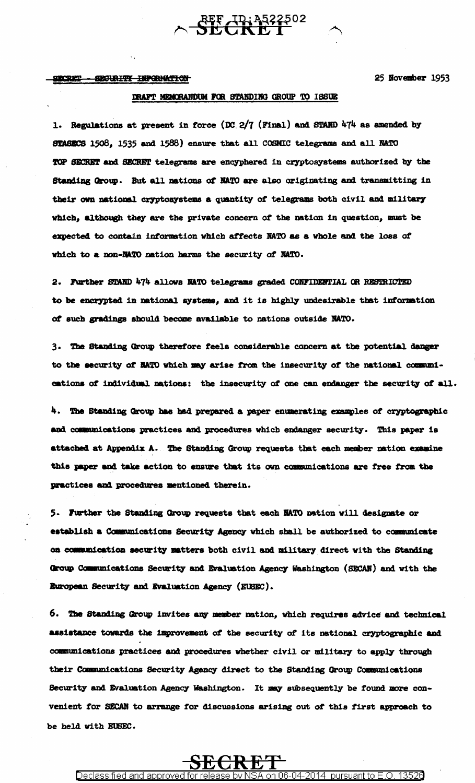#### **SECRET** SECURITY INPORMATION

25 November 1953

### DRAFT MEMORANDUM FOR STANDING GROUP TO ISSUE

**REF TD: 3522502** 

1. Regulations at present in force  $(DC. 2/7$  (Final) and STAND 474 as amended by STASECS 1508, 1535 and 1588) ensure that all COSMIC telegrams and all NATO TOP SECRET and SECRET telegrams are encyphered in cryptosystems authorized by the Standing Group. But all nations of NATO are also originating and transmitting in their own national cryptosystems a quantity of telegrams both civil and military which, although they are the private concern of the nation in question, must be expected to contain information which affects NATO as a whole and the loss of which to a non-MATO nation harms the security of NATO.

2. Further STAND 474 allows NATO telegrams graded CONFIDENTIAL OR RESTRICTED to be encrypted in national systems, and it is highly undesirable that information of such gradings should become available to nations outside NATO.

3. The Standing Group therefore feels considerable concern at the potential danger to the security of NATO which may arise from the insecurity of the national communications of individual nations: the insecurity of one can endanger the security of all.

4. The Standing Group has had prepared a paper enumerating examples of cryptographic and communications practices and procedures which endanger security. This paper is attached at Appendix A. The Standing Group requests that each member nation examine this paper and take action to ensure that its own communications are free from the practices and procedures mentioned therein.

5. Further the Standing Group requests that each NATO nation will designate or establish a Communications Security Agency which shall be authorized to communicate on communication security matters both civil and military direct with the Standing Group Communications Security and Evaluation Agency Washington (SECAN) and with the European Security and Evaluation Agency (EUSEC).

6. The Standing Group invites any member nation, which requires advice and technical assistance towards the improvement of the security of its national cryptographic and communications practices and procedures whether civil or military to apply through their Communications Security Agency direct to the Standing Group Communications Security and Evaluation Agency Washington. It may subsequently be found more convenient for SECAN to arrange for discussions arising out of this first approach to be held with EUSEC.

# 长长 Declassified and approved f

N6-N4-

2014.

pursuant to **f** 

13526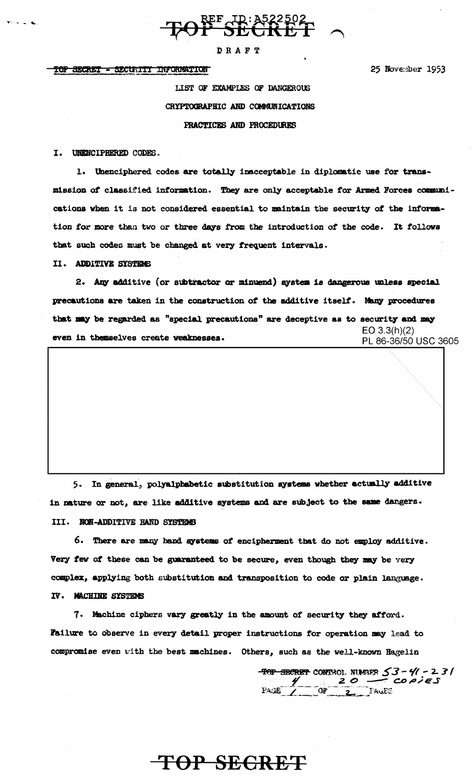

### **DRAFT**

#### TOP SECRET - SECURITY INFORMATION

25 November 1953

LIST OF EXAMPLES OF DANGEROUS CRYPTOGRAPHIC AND COMMUNICATIONS PRACTICES AND PROCEDURES

I. UNENCIPHERED CODES.

1. Unenciphered codes are totally inscceptable in diplomatic use for transmission of classified information. They are only acceptable for Armed Forces communications when it is not considered essential to maintain the security of the information for more than two or three days from the introduction of the code. It follows that such codes must be changed at very frequent intervals.

#### II. ADDITIVE SYSTEMS

2. Any additive (or subtractor or minuend) system is dangerous unless special precautions are taken in the construction of the additive itself. Many procedures that may be regarded as "special precautions" are deceptive as to security and may  $EO$  3.3(h)(2) even in themselves create weaknesses. PL 86-36/50 USC 3605

 $5.$ In general, polyalphabetic substitution systems whether actually additive in nature or not, are like additive systems and are subject to the same dangers. III. NON-ADDITIVE HAND SYSTEMS

6. There are many hand systems of encipherment that do not employ additive. Very few of these can be guaranteed to be secure, even though they may be very complex, applying both substitution and transposition to code or plain language. IV. MACHINE SYSTEMS

7. Machine ciphers vary greatly in the amount of security they afford. Failure to observe in every detail proper instructions for operation may lead to compromise even with the best machines. Others, such as the well-known Hagelin

TOP SEGRET

TOP SECRET CONTROL NUMBER  $53 - 41 - 231$ <br>PAGE  $1 - 20$  Fault: